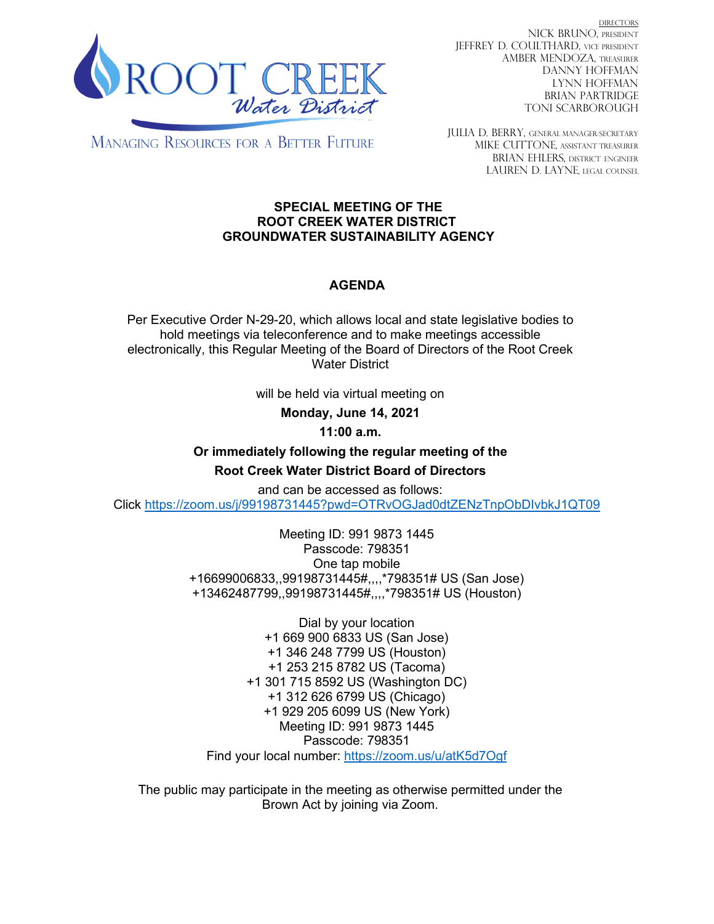

DIRECTORS NICK BRUNO, PRESIDENT JEFFREY D. COULTHARD, Vice President AMBER MENDOZA, TREASURER DANNY HOFFMAN LYNN HOFFMAN BRIAN PARTRIDGE TONI SCARBOROUGH

**MANAGING RESOURCES FOR A BETTER FUTURE** 

JULIA D. BERRY, GENERAL MANAGER/secretary MIKE CUTTONE, Assistant treasurer BRIAN EHLERS, DISTRICT ENGINEER LAUREN D. LAYNE, LEGAL COUNSEL

### **SPECIAL MEETING OF THE ROOT CREEK WATER DISTRICT GROUNDWATER SUSTAINABILITY AGENCY**

# **AGENDA**

Per Executive Order N-29-20, which allows local and state legislative bodies to hold meetings via teleconference and to make meetings accessible electronically, this Regular Meeting of the Board of Directors of the Root Creek Water District

will be held via virtual meeting on

**Monday, June 14, 2021**

**11:00 a.m.**

**Or immediately following the regular meeting of the Root Creek Water District Board of Directors**

and can be accessed as follows: Click<https://zoom.us/j/99198731445?pwd=OTRvOGJad0dtZENzTnpObDIvbkJ1QT09>

> Meeting ID: 991 9873 1445 Passcode: 798351 One tap mobile +16699006833,,99198731445#,,,,\*798351# US (San Jose) +13462487799,,99198731445#,,,,\*798351# US (Houston)

Dial by your location +1 669 900 6833 US (San Jose) +1 346 248 7799 US (Houston) +1 253 215 8782 US (Tacoma) +1 301 715 8592 US (Washington DC) +1 312 626 6799 US (Chicago) +1 929 205 6099 US (New York) Meeting ID: 991 9873 1445 Passcode: 798351 Find your local number:<https://zoom.us/u/atK5d7Ogf>

The public may participate in the meeting as otherwise permitted under the Brown Act by joining via Zoom.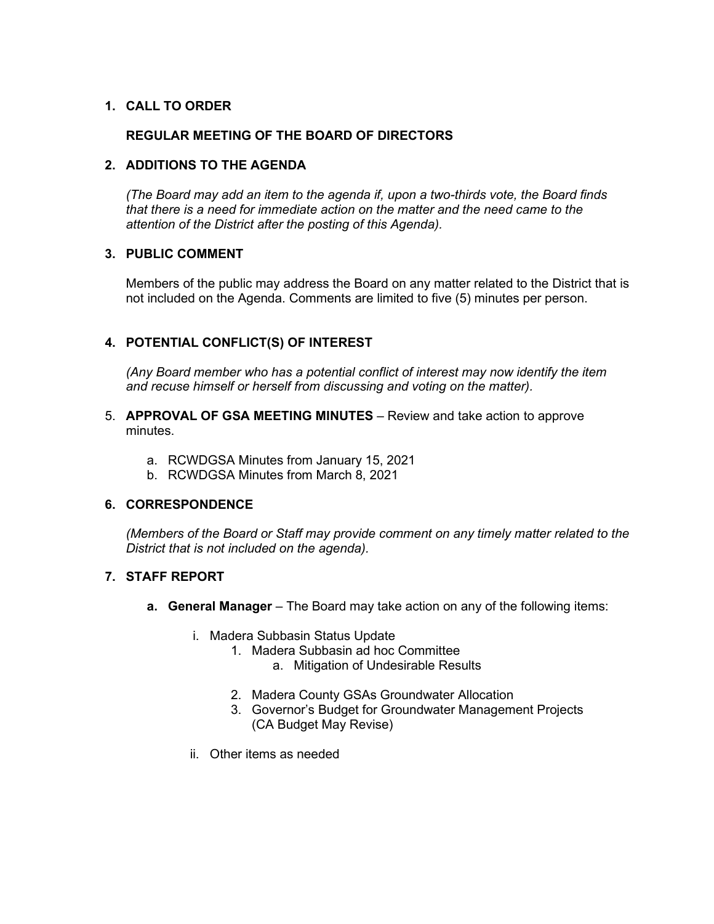### **1. CALL TO ORDER**

## **REGULAR MEETING OF THE BOARD OF DIRECTORS**

### **2. ADDITIONS TO THE AGENDA**

*(The Board may add an item to the agenda if, upon a two-thirds vote, the Board finds that there is a need for immediate action on the matter and the need came to the attention of the District after the posting of this Agenda).*

### **3. PUBLIC COMMENT**

Members of the public may address the Board on any matter related to the District that is not included on the Agenda. Comments are limited to five (5) minutes per person.

## **4. POTENTIAL CONFLICT(S) OF INTEREST**

*(Any Board member who has a potential conflict of interest may now identify the item and recuse himself or herself from discussing and voting on the matter).*

- 5. **APPROVAL OF GSA MEETING MINUTES** Review and take action to approve minutes.
	- a. RCWDGSA Minutes from January 15, 2021
	- b. RCWDGSA Minutes from March 8, 2021

#### **6. CORRESPONDENCE**

*(Members of the Board or Staff may provide comment on any timely matter related to the District that is not included on the agenda).*

#### **7. STAFF REPORT**

- **a. General Manager** The Board may take action on any of the following items:
	- i. Madera Subbasin Status Update
		- 1. Madera Subbasin ad hoc Committee
			- a. Mitigation of Undesirable Results
		- 2. Madera County GSAs Groundwater Allocation
		- 3. Governor's Budget for Groundwater Management Projects (CA Budget May Revise)
	- ii. Other items as needed